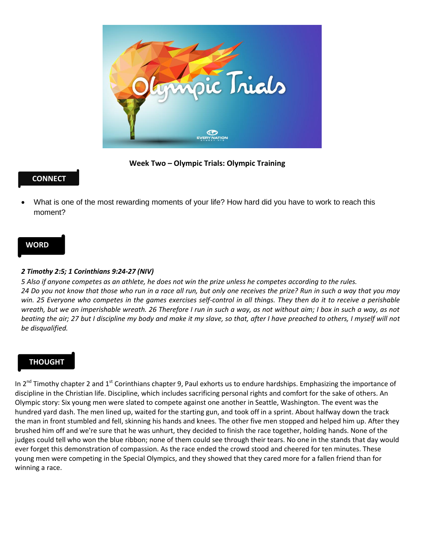

**Week Two – Olympic Trials: Olympic Training** 

## **CONNECT**

 What is one of the most rewarding moments of your life? How hard did you have to work to reach this moment?

### **WORD**

#### *2 Timothy 2:5; 1 Corinthians 9:24-27 (NIV)*

*5 Also if anyone competes as an athlete, he does not win the prize unless he competes according to the rules. 24 Do you not know that those who run in a race all run, but only one receives the prize? Run in such a way that you may win. 25 Everyone who competes in the games exercises self-control in all things. They then do it to receive a perishable wreath, but we an imperishable wreath. 26 Therefore I run in such a way, as not without aim; I box in such a way, as not beating the air; 27 but I discipline my body and make it my slave, so that, after I have preached to others, I myself will not be disqualified.* 

# **THOUGHT**

In 2<sup>nd</sup> Timothy chapter 2 and 1<sup>st</sup> Corinthians chapter 9, Paul exhorts us to endure hardships. Emphasizing the importance of discipline in the Christian life. Discipline, which includes sacrificing personal rights and comfort for the sake of others. An Olympic story: Six young men were slated to compete against one another in Seattle, Washington. The event was the hundred yard dash. The men lined up, waited for the starting gun, and took off in a sprint. About halfway down the track the man in front stumbled and fell, skinning his hands and knees. The other five men stopped and helped him up. After they brushed him off and we're sure that he was unhurt, they decided to finish the race together, holding hands. None of the judges could tell who won the blue ribbon; none of them could see through their tears. No one in the stands that day would ever forget this demonstration of compassion. As the race ended the crowd stood and cheered for ten minutes. These young men were competing in the Special Olympics, and they showed that they cared more for a fallen friend than for winning a race.